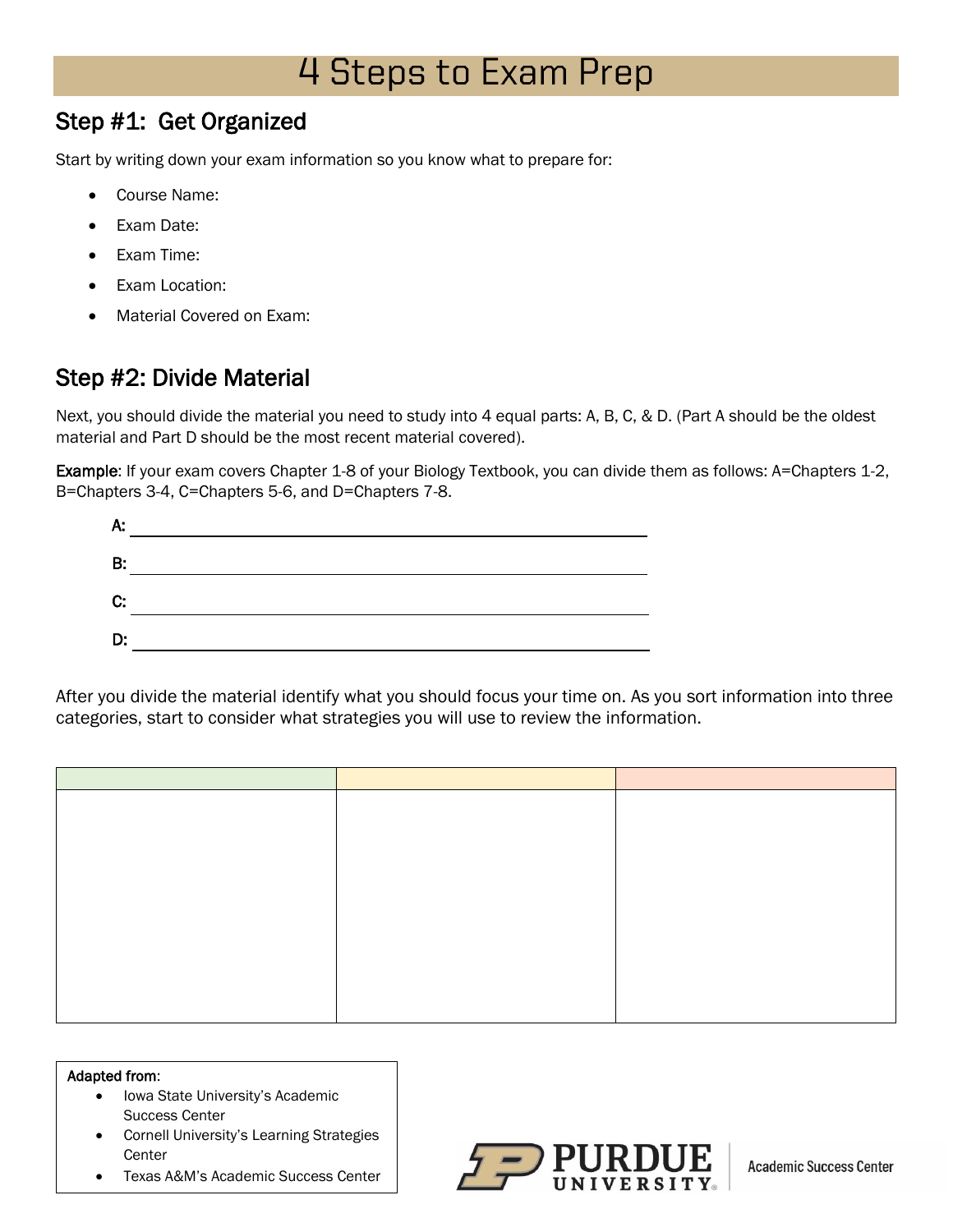# 4 Steps to Exam Prep

### Step #1: Get Organized

Start by writing down your exam information so you know what to prepare for:

- Course Name:
- Exam Date:
- Exam Time:
- Exam Location:
- Material Covered on Exam:

# Step #2: Divide Material

Next, you should divide the material you need to study into 4 equal parts: A, B, C, & D. (Part A should be the oldest material and Part D should be the most recent material covered).

Example: If your exam covers Chapter 1-8 of your Biology Textbook, you can divide them as follows: A=Chapters 1-2, B=Chapters 3-4, C=Chapters 5-6, and D=Chapters 7-8.

| A: |  |
|----|--|
| B: |  |
| C: |  |
| D. |  |

After you divide the material identify what you should focus your time on. As you sort information into three categories, start to consider what strategies you will use to review the information.

#### Adapted from:

- Iowa State University's Academic Success Center
- Cornell University's Learning Strategies **Center**
- Texas A&M's Academic Success Center